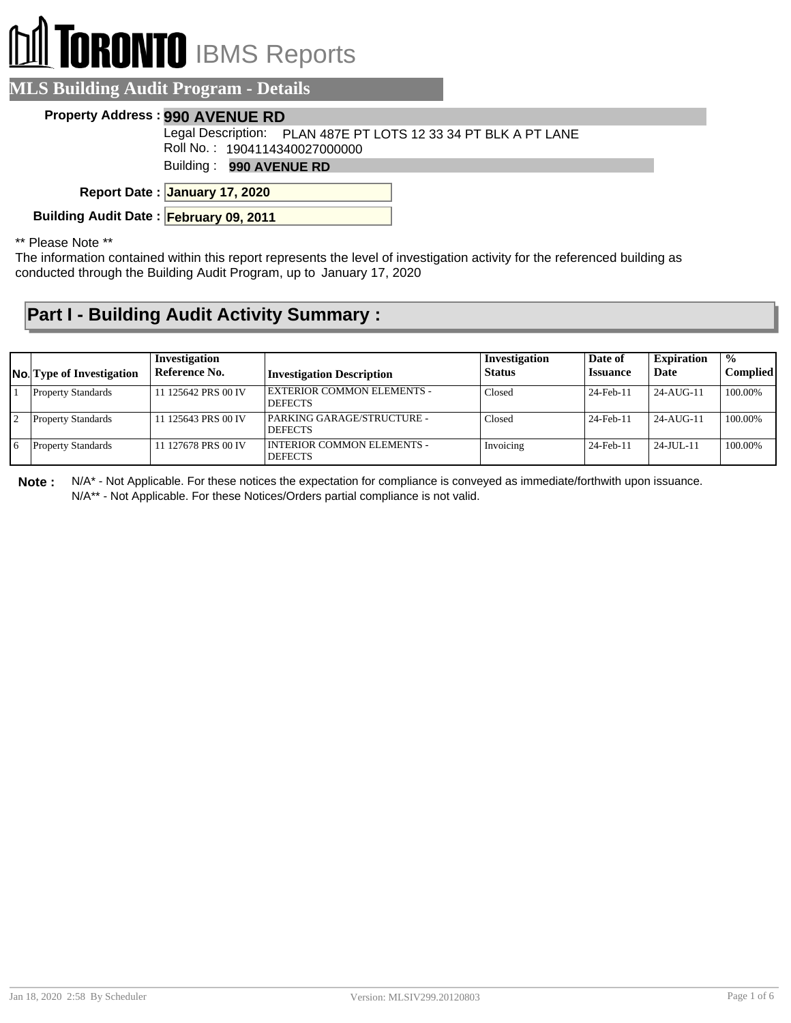# **RONTO** IBMS Reports

#### **MLS Building Audit Program - Details**

#### **Property Address : 990 AVENUE RD**

Legal Description: PLAN 487E PT LOTS 12 33 34 PT BLK A PT LANE

Roll No. : 1904114340027000000

Building : **990 AVENUE RD**

**January 17, 2020 Report Date :**

**Building Audit Date : February 09, 2011**

\*\* Please Note \*\*

The information contained within this report represents the level of investigation activity for the referenced building as conducted through the Building Audit Program, up to January 17, 2020

### **Part I - Building Audit Activity Summary :**

| <b>No.</b> Type of Investigation | Investigation<br>Reference No. | <b>Investigation Description</b>                    | Investigation<br><b>Status</b> | Date of<br><b>Issuance</b> | <b>Expiration</b><br>Date | $\frac{1}{2}$<br><b>Complied</b> |
|----------------------------------|--------------------------------|-----------------------------------------------------|--------------------------------|----------------------------|---------------------------|----------------------------------|
| <b>Property Standards</b>        | 11 125642 PRS 00 IV            | <b>EXTERIOR COMMON ELEMENTS -</b><br><b>DEFECTS</b> | Closed                         | 24-Feb-11                  | $24 - AI$ IG-11           | 100.00%                          |
| <b>Property Standards</b>        | 11 125643 PRS 00 IV            | PARKING GARAGE/STRUCTURE -<br><b>DEFECTS</b>        | Closed                         | 24-Feb-11                  | $24 - AI$ IG-11           | 100.00%                          |
| <b>Property Standards</b>        | 11 127678 PRS 00 IV            | I INTERIOR COMMON ELEMENTS -<br><b>DEFECTS</b>      | Invoicing                      | 24-Feb-11                  | $24 - JU J - 11$          | 100.00%                          |

**Note :** N/A\* - Not Applicable. For these notices the expectation for compliance is conveyed as immediate/forthwith upon issuance. N/A\*\* - Not Applicable. For these Notices/Orders partial compliance is not valid.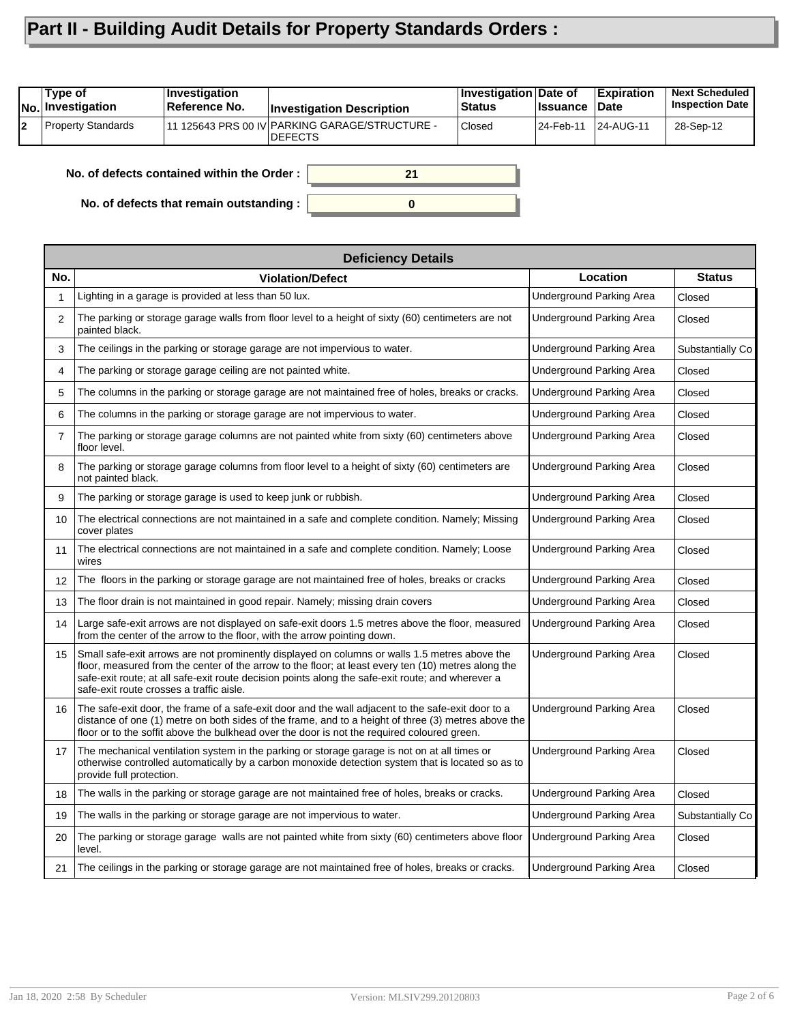## **Part II - Building Audit Details for Property Standards Orders :**

| Type of<br><b>No.</b> Investigation | ∣Investiqation<br>Reference No. | <b>Investigation Description</b>                                  | <b>Investigation Date of</b><br><b>Status</b> | <b>Issuance</b> | <b>Expiration</b><br><b>Date</b> | <b>Next Scheduled</b><br><b>Inspection Date</b> |
|-------------------------------------|---------------------------------|-------------------------------------------------------------------|-----------------------------------------------|-----------------|----------------------------------|-------------------------------------------------|
| <b>Property Standards</b>           |                                 | 111 125643 PRS 00 IV PARKING GARAGE/STRUCTURE -<br><b>DEFECTS</b> | Closed                                        | 24-Feb-11       | 24-AUG-11                        | 28-Sep-12                                       |
|                                     |                                 |                                                                   |                                               |                 |                                  |                                                 |

**0**

**21**

**No. of defects contained within the Order :**

**No. of defects that remain outstanding :**

| <b>Deficiency Details</b> |                                                                                                                                                                                                                                                                                                                                                       |                                 |                  |  |  |  |
|---------------------------|-------------------------------------------------------------------------------------------------------------------------------------------------------------------------------------------------------------------------------------------------------------------------------------------------------------------------------------------------------|---------------------------------|------------------|--|--|--|
| No.                       | <b>Violation/Defect</b>                                                                                                                                                                                                                                                                                                                               | Location                        | <b>Status</b>    |  |  |  |
| 1                         | Lighting in a garage is provided at less than 50 lux.                                                                                                                                                                                                                                                                                                 | Underground Parking Area        | Closed           |  |  |  |
| $\overline{2}$            | The parking or storage garage walls from floor level to a height of sixty (60) centimeters are not<br>painted black.                                                                                                                                                                                                                                  | Underground Parking Area        | Closed           |  |  |  |
| 3                         | The ceilings in the parking or storage garage are not impervious to water.                                                                                                                                                                                                                                                                            | Underground Parking Area        | Substantially Co |  |  |  |
| 4                         | The parking or storage garage ceiling are not painted white.                                                                                                                                                                                                                                                                                          | Underground Parking Area        | Closed           |  |  |  |
| 5                         | The columns in the parking or storage garage are not maintained free of holes, breaks or cracks.                                                                                                                                                                                                                                                      | Underground Parking Area        | Closed           |  |  |  |
| 6                         | The columns in the parking or storage garage are not impervious to water.                                                                                                                                                                                                                                                                             | Underground Parking Area        | Closed           |  |  |  |
| 7                         | The parking or storage garage columns are not painted white from sixty (60) centimeters above<br>floor level.                                                                                                                                                                                                                                         | Underground Parking Area        | Closed           |  |  |  |
| 8                         | The parking or storage garage columns from floor level to a height of sixty (60) centimeters are<br>not painted black.                                                                                                                                                                                                                                | Underground Parking Area        | Closed           |  |  |  |
| 9                         | The parking or storage garage is used to keep junk or rubbish.                                                                                                                                                                                                                                                                                        | Underground Parking Area        | Closed           |  |  |  |
| 10                        | The electrical connections are not maintained in a safe and complete condition. Namely; Missing<br>cover plates                                                                                                                                                                                                                                       | Underground Parking Area        | Closed           |  |  |  |
| 11                        | The electrical connections are not maintained in a safe and complete condition. Namely; Loose<br>wires                                                                                                                                                                                                                                                | Underground Parking Area        | Closed           |  |  |  |
| 12                        | The floors in the parking or storage garage are not maintained free of holes, breaks or cracks                                                                                                                                                                                                                                                        | Underground Parking Area        | Closed           |  |  |  |
| 13                        | The floor drain is not maintained in good repair. Namely; missing drain covers                                                                                                                                                                                                                                                                        | <b>Underground Parking Area</b> | Closed           |  |  |  |
| 14                        | Large safe-exit arrows are not displayed on safe-exit doors 1.5 metres above the floor, measured<br>from the center of the arrow to the floor, with the arrow pointing down.                                                                                                                                                                          | Underground Parking Area        | Closed           |  |  |  |
| 15                        | Small safe-exit arrows are not prominently displayed on columns or walls 1.5 metres above the<br>floor, measured from the center of the arrow to the floor; at least every ten (10) metres along the<br>safe-exit route; at all safe-exit route decision points along the safe-exit route; and wherever a<br>safe-exit route crosses a traffic aisle. | Underground Parking Area        | Closed           |  |  |  |
| 16                        | The safe-exit door, the frame of a safe-exit door and the wall adjacent to the safe-exit door to a<br>distance of one (1) metre on both sides of the frame, and to a height of three (3) metres above the<br>floor or to the soffit above the bulkhead over the door is not the required coloured green.                                              | Underground Parking Area        | Closed           |  |  |  |
| 17                        | The mechanical ventilation system in the parking or storage garage is not on at all times or<br>otherwise controlled automatically by a carbon monoxide detection system that is located so as to<br>provide full protection.                                                                                                                         | <b>Underground Parking Area</b> | Closed           |  |  |  |
| 18                        | The walls in the parking or storage garage are not maintained free of holes, breaks or cracks.                                                                                                                                                                                                                                                        | Underground Parking Area        | Closed           |  |  |  |
| 19                        | The walls in the parking or storage garage are not impervious to water.                                                                                                                                                                                                                                                                               | <b>Underground Parking Area</b> | Substantially Co |  |  |  |
| 20                        | The parking or storage garage walls are not painted white from sixty (60) centimeters above floor<br>level.                                                                                                                                                                                                                                           | Underground Parking Area        | Closed           |  |  |  |
| 21                        | The ceilings in the parking or storage garage are not maintained free of holes, breaks or cracks.                                                                                                                                                                                                                                                     | Underground Parking Area        | Closed           |  |  |  |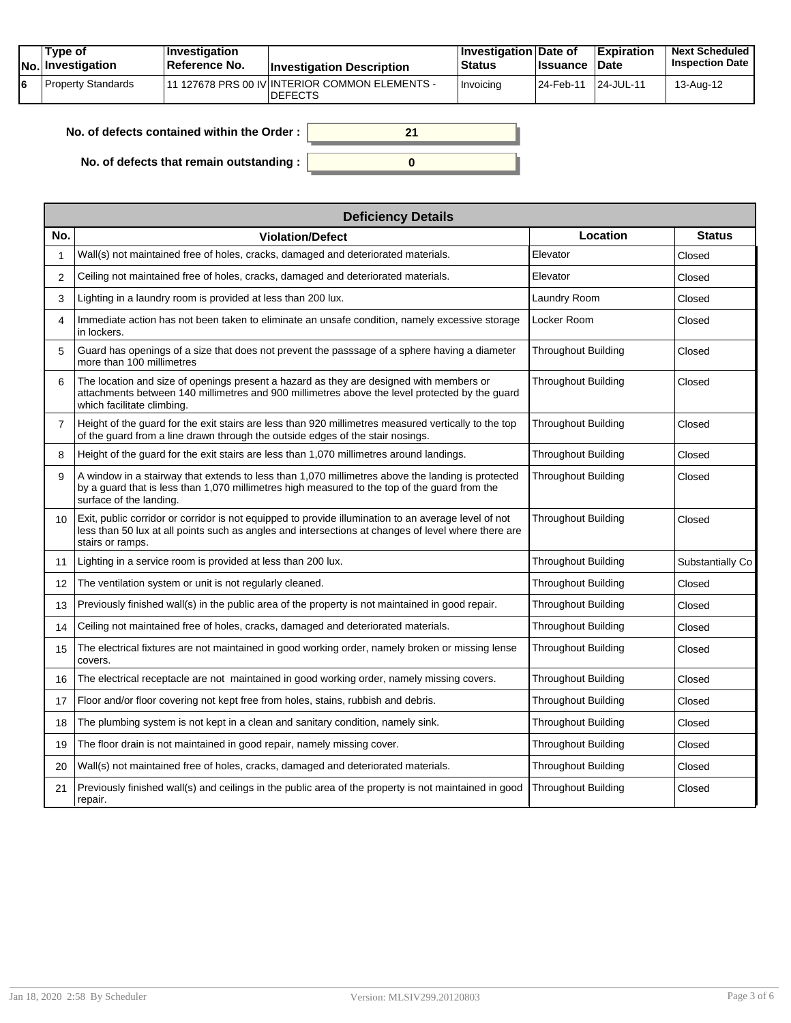|    | Tvpe of<br><b>No.</b> Investigation | <b>Investigation</b><br>Reference No. | <b>Investigation Description</b>                                  | <b>∣Investigation Date of</b><br><b>Status</b> | <b>Issuance Date</b> | <b>Expiration</b> | <b>Next Scheduled</b><br><b>Inspection Date</b> |
|----|-------------------------------------|---------------------------------------|-------------------------------------------------------------------|------------------------------------------------|----------------------|-------------------|-------------------------------------------------|
| 16 | Property Standards                  |                                       | 111 127678 PRS 00 IV INTERIOR COMMON ELEMENTS -<br><b>DEFECTS</b> | Invoicing                                      | 24-Feb-11            | 24-JUL-11         | 13-Aug-12                                       |

**0**

**21**

| No. of defects contained within the Order : |  |
|---------------------------------------------|--|
|                                             |  |

**No. of defects that remain outstanding :**

| <b>Deficiency Details</b> |                                                                                                                                                                                                                                 |                            |                  |  |  |  |  |
|---------------------------|---------------------------------------------------------------------------------------------------------------------------------------------------------------------------------------------------------------------------------|----------------------------|------------------|--|--|--|--|
| No.                       | <b>Violation/Defect</b>                                                                                                                                                                                                         | Location                   | <b>Status</b>    |  |  |  |  |
|                           | Wall(s) not maintained free of holes, cracks, damaged and deteriorated materials.                                                                                                                                               | Elevator                   | Closed           |  |  |  |  |
| $\overline{2}$            | Ceiling not maintained free of holes, cracks, damaged and deteriorated materials.                                                                                                                                               | Elevator                   | Closed           |  |  |  |  |
| 3                         | Lighting in a laundry room is provided at less than 200 lux.                                                                                                                                                                    | Laundry Room               | Closed           |  |  |  |  |
| 4                         | Immediate action has not been taken to eliminate an unsafe condition, namely excessive storage<br>in lockers.                                                                                                                   | Locker Room                | Closed           |  |  |  |  |
| 5                         | Guard has openings of a size that does not prevent the passsage of a sphere having a diameter<br>more than 100 millimetres                                                                                                      | <b>Throughout Building</b> | Closed           |  |  |  |  |
| 6                         | The location and size of openings present a hazard as they are designed with members or<br>attachments between 140 millimetres and 900 millimetres above the level protected by the quard<br>which facilitate climbing.         | Throughout Building        | Closed           |  |  |  |  |
| $\overline{7}$            | Height of the quard for the exit stairs are less than 920 millimetres measured vertically to the top<br>of the quard from a line drawn through the outside edges of the stair nosings.                                          | Throughout Building        | Closed           |  |  |  |  |
| 8                         | Height of the quard for the exit stairs are less than 1,070 millimetres around landings.                                                                                                                                        | <b>Throughout Building</b> | Closed           |  |  |  |  |
| 9                         | A window in a stairway that extends to less than 1,070 millimetres above the landing is protected<br>by a quard that is less than 1,070 millimetres high measured to the top of the quard from the<br>surface of the landing.   | Throughout Building        | Closed           |  |  |  |  |
| 10                        | Exit, public corridor or corridor is not equipped to provide illumination to an average level of not<br>less than 50 lux at all points such as angles and intersections at changes of level where there are<br>stairs or ramps. | Throughout Building        | Closed           |  |  |  |  |
| 11                        | Lighting in a service room is provided at less than 200 lux.                                                                                                                                                                    | <b>Throughout Building</b> | Substantially Co |  |  |  |  |
| 12                        | The ventilation system or unit is not regularly cleaned.                                                                                                                                                                        | Throughout Building        | Closed           |  |  |  |  |
| 13                        | Previously finished wall(s) in the public area of the property is not maintained in good repair.                                                                                                                                | Throughout Building        | Closed           |  |  |  |  |
| 14                        | Ceiling not maintained free of holes, cracks, damaged and deteriorated materials.                                                                                                                                               | <b>Throughout Building</b> | Closed           |  |  |  |  |
| 15                        | The electrical fixtures are not maintained in good working order, namely broken or missing lense<br>covers.                                                                                                                     | <b>Throughout Building</b> | Closed           |  |  |  |  |
| 16                        | The electrical receptacle are not maintained in good working order, namely missing covers.                                                                                                                                      | <b>Throughout Building</b> | Closed           |  |  |  |  |
| 17                        | Floor and/or floor covering not kept free from holes, stains, rubbish and debris.                                                                                                                                               | Throughout Building        | Closed           |  |  |  |  |
| 18                        | The plumbing system is not kept in a clean and sanitary condition, namely sink.                                                                                                                                                 | <b>Throughout Building</b> | Closed           |  |  |  |  |
| 19                        | The floor drain is not maintained in good repair, namely missing cover.                                                                                                                                                         | Throughout Building        | Closed           |  |  |  |  |
| 20                        | Wall(s) not maintained free of holes, cracks, damaged and deteriorated materials.                                                                                                                                               | <b>Throughout Building</b> | Closed           |  |  |  |  |
| 21                        | Previously finished wall(s) and ceilings in the public area of the property is not maintained in good<br>repair.                                                                                                                | <b>Throughout Building</b> | Closed           |  |  |  |  |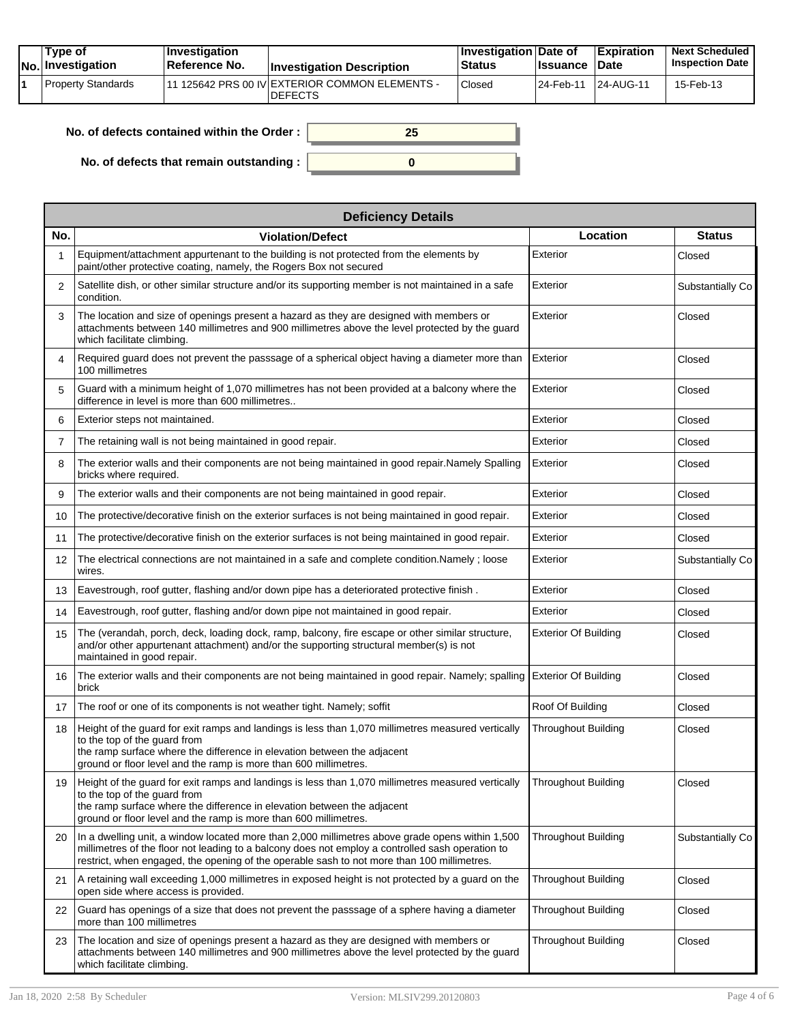| Tvpe of<br>No. Investigation | $\blacksquare$ Investigation<br>Reference No. | <b>Investigation Description</b>                                 | <b>Investigation Date of</b><br><b>Status</b> | <b>Issuance</b> | <b>Expiration</b><br><b>Date</b> | <b>Next Scheduled</b><br><b>Inspection Date</b> |
|------------------------------|-----------------------------------------------|------------------------------------------------------------------|-----------------------------------------------|-----------------|----------------------------------|-------------------------------------------------|
| Property Standards           |                                               | 11 125642 PRS 00 IV EXTERIOR COMMON ELEMENTS -<br><b>DEFECTS</b> | Closed                                        | 24-Feb-11       | <sup>1</sup> 24-AUG-11           | 15-Feb-13                                       |

| No. of defects contained within the Order: |  |
|--------------------------------------------|--|
| No. of defects that remain outstanding :   |  |

| <b>Deficiency Details</b> |                                                                                                                                                                                                                                                                                                       |                             |                  |  |  |  |
|---------------------------|-------------------------------------------------------------------------------------------------------------------------------------------------------------------------------------------------------------------------------------------------------------------------------------------------------|-----------------------------|------------------|--|--|--|
| No.                       | <b>Violation/Defect</b>                                                                                                                                                                                                                                                                               | Location                    | <b>Status</b>    |  |  |  |
|                           | Equipment/attachment appurtenant to the building is not protected from the elements by<br>paint/other protective coating, namely, the Rogers Box not secured                                                                                                                                          | Exterior                    | Closed           |  |  |  |
| 2                         | Satellite dish, or other similar structure and/or its supporting member is not maintained in a safe<br>condition.                                                                                                                                                                                     | Exterior                    | Substantially Co |  |  |  |
| 3                         | The location and size of openings present a hazard as they are designed with members or<br>attachments between 140 millimetres and 900 millimetres above the level protected by the guard<br>which facilitate climbing.                                                                               | Exterior                    | Closed           |  |  |  |
| 4                         | Required guard does not prevent the passsage of a spherical object having a diameter more than<br>100 millimetres                                                                                                                                                                                     | Exterior                    | Closed           |  |  |  |
| 5                         | Guard with a minimum height of 1,070 millimetres has not been provided at a balcony where the<br>difference in level is more than 600 millimetres                                                                                                                                                     | Exterior                    | Closed           |  |  |  |
| 6                         | Exterior steps not maintained.                                                                                                                                                                                                                                                                        | Exterior                    | Closed           |  |  |  |
| 7                         | The retaining wall is not being maintained in good repair.                                                                                                                                                                                                                                            | Exterior                    | Closed           |  |  |  |
| 8                         | The exterior walls and their components are not being maintained in good repair. Namely Spalling<br>bricks where required.                                                                                                                                                                            | Exterior                    | Closed           |  |  |  |
| 9                         | The exterior walls and their components are not being maintained in good repair.                                                                                                                                                                                                                      | Exterior                    | Closed           |  |  |  |
| 10                        | The protective/decorative finish on the exterior surfaces is not being maintained in good repair.                                                                                                                                                                                                     | Exterior                    | Closed           |  |  |  |
| 11                        | The protective/decorative finish on the exterior surfaces is not being maintained in good repair.                                                                                                                                                                                                     | Exterior                    | Closed           |  |  |  |
| 12                        | The electrical connections are not maintained in a safe and complete condition. Namely ; loose<br>wires.                                                                                                                                                                                              | Exterior                    | Substantially Co |  |  |  |
| 13                        | Eavestrough, roof gutter, flashing and/or down pipe has a deteriorated protective finish.                                                                                                                                                                                                             | Exterior                    | Closed           |  |  |  |
| 14                        | Eavestrough, roof gutter, flashing and/or down pipe not maintained in good repair.                                                                                                                                                                                                                    | Exterior                    | Closed           |  |  |  |
| 15                        | The (verandah, porch, deck, loading dock, ramp, balcony, fire escape or other similar structure,<br>and/or other appurtenant attachment) and/or the supporting structural member(s) is not<br>maintained in good repair.                                                                              | <b>Exterior Of Building</b> | Closed           |  |  |  |
| 16                        | The exterior walls and their components are not being maintained in good repair. Namely; spalling<br>brick                                                                                                                                                                                            | <b>Exterior Of Building</b> | Closed           |  |  |  |
| 17                        | The roof or one of its components is not weather tight. Namely; soffit                                                                                                                                                                                                                                | Roof Of Building            | Closed           |  |  |  |
| 18                        | Height of the guard for exit ramps and landings is less than 1,070 millimetres measured vertically<br>to the top of the quard from<br>the ramp surface where the difference in elevation between the adjacent<br>ground or floor level and the ramp is more than 600 millimetres.                     | <b>Throughout Building</b>  | Closed           |  |  |  |
| 19                        | Height of the guard for exit ramps and landings is less than 1,070 millimetres measured vertically Throughout Building<br>to the top of the guard from<br>the ramp surface where the difference in elevation between the adjacent<br>ground or floor level and the ramp is more than 600 millimetres. |                             | Closed           |  |  |  |
| 20                        | In a dwelling unit, a window located more than 2,000 millimetres above grade opens within 1,500<br>millimetres of the floor not leading to a balcony does not employ a controlled sash operation to<br>restrict, when engaged, the opening of the operable sash to not more than 100 millimetres.     | Throughout Building         | Substantially Co |  |  |  |
| 21                        | A retaining wall exceeding 1,000 millimetres in exposed height is not protected by a guard on the<br>open side where access is provided.                                                                                                                                                              | <b>Throughout Building</b>  | Closed           |  |  |  |
| 22                        | Guard has openings of a size that does not prevent the passsage of a sphere having a diameter<br>more than 100 millimetres                                                                                                                                                                            | <b>Throughout Building</b>  | Closed           |  |  |  |
| 23                        | The location and size of openings present a hazard as they are designed with members or<br>attachments between 140 millimetres and 900 millimetres above the level protected by the guard<br>which facilitate climbing.                                                                               | <b>Throughout Building</b>  | Closed           |  |  |  |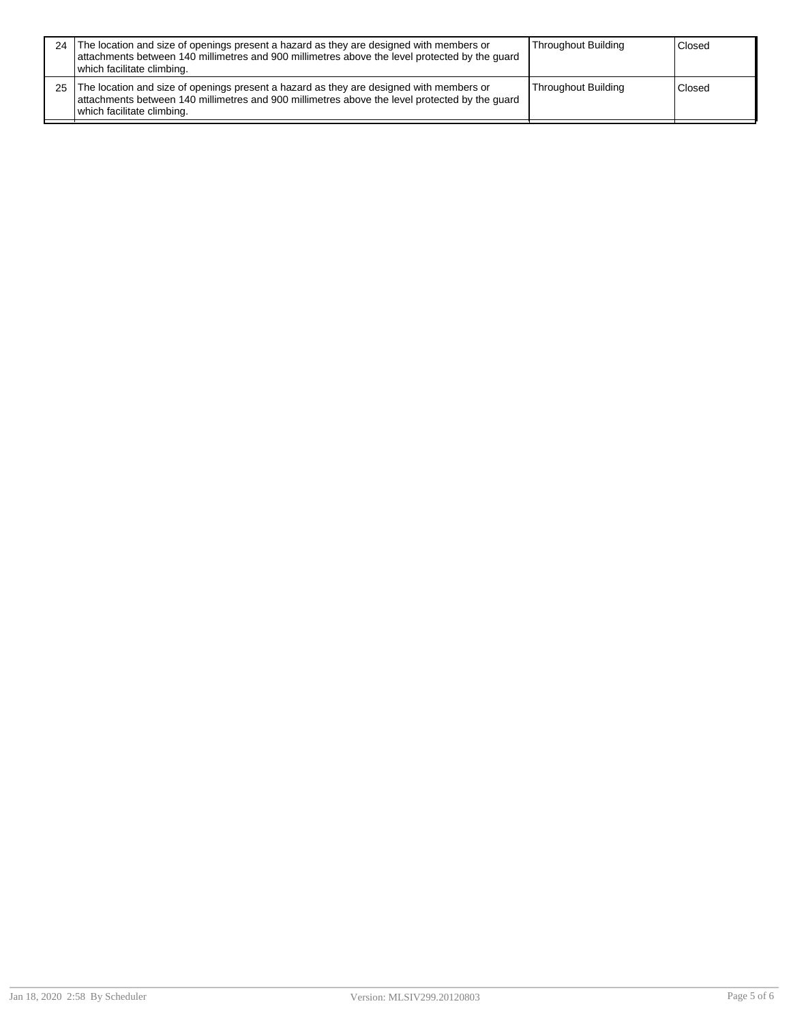| 24 ' | The location and size of openings present a hazard as they are designed with members or<br>attachments between 140 millimetres and 900 millimetres above the level protected by the quard<br>which facilitate climbing. | Throughout Building        | Closed |
|------|-------------------------------------------------------------------------------------------------------------------------------------------------------------------------------------------------------------------------|----------------------------|--------|
| 25   | The location and size of openings present a hazard as they are designed with members or<br>attachments between 140 millimetres and 900 millimetres above the level protected by the guard<br>which facilitate climbing. | <b>Throughout Building</b> | Closed |